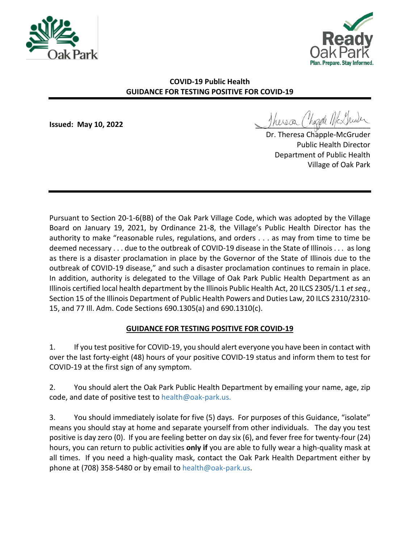



## **COVID-19 Public Health GUIDANCE FOR TESTING POSITIVE FOR COVID-19**

**Issued: May 10, 2022** \_\_\_\_\_\_\_\_\_\_\_\_\_\_\_\_\_\_\_\_\_\_\_\_\_\_\_\_

Dr. Theresa Chapple-McGruder Public Health Director Department of Public Health Village of Oak Park

Pursuant to Section 20-1-6(BB) of the Oak Park Village Code, which was adopted by the Village Board on January 19, 2021, by Ordinance 21-8, the Village's Public Health Director has the authority to make "reasonable rules, regulations, and orders . . . as may from time to time be deemed necessary . . . due to the outbreak of COVID-19 disease in the State of Illinois . . . as long as there is a disaster proclamation in place by the Governor of the State of Illinois due to the outbreak of COVID-19 disease," and such a disaster proclamation continues to remain in place. In addition, authority is delegated to the Village of Oak Park Public Health Department as an Illinois certified local health department by the Illinois Public Health Act, 20 ILCS 2305/1.1 *et seq.*, Section 15 of the Illinois Department of Public Health Powers and Duties Law, 20 ILCS 2310/2310- 15, and 77 Ill. Adm. Code Sections 690.1305(a) and 690.1310(c).

## **GUIDANCE FOR TESTING POSITIVE FOR COVID-19**

1. If you test positive for COVID-19, you should alert everyone you have been in contact with over the last forty-eight (48) hours of your positive COVID-19 status and inform them to test for COVID-19 at the first sign of any symptom.

2. You should alert the Oak Park Public Health Department by emailing your name, age, zip code, and date of positive test to [health@oak-park.us.](mailto:health@oak-park.us)

3. You should immediately isolate for five (5) days. For purposes of this Guidance, "isolate" means you should stay at home and separate yourself from other individuals. The day you test positive is day zero (0). If you are feeling better on day six (6), and fever free for twenty-four (24) hours, you can return to public activities **only if** you are able to fully wear a high-quality mask at all times. If you need a high-quality mask, contact the Oak Park Health Department either by phone at (708) 358-5480 or by email to [health@oak-park.us.](mailto:health@oak-park.us)